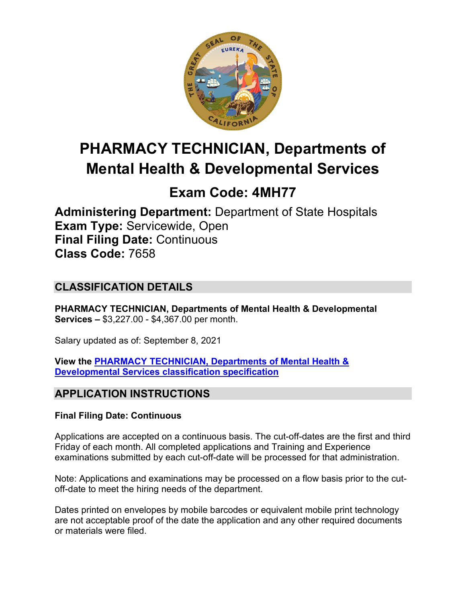

# **PHARMACY TECHNICIAN, Departments of Mental Health & Developmental Services**

# **Exam Code: 4MH77**

**Administering Department:** Department of State Hospitals **Exam Type:** Servicewide, Open **Final Filing Date:** Continuous **Class Code:** 7658

# **CLASSIFICATION DETAILS**

**PHARMACY TECHNICIAN, Departments of Mental Health & Developmental Services –** \$3,227.00 - \$4,367.00 per month.

Salary updated as of: September 8, 2021

**View the [PHARMACY TECHNICIAN, Departments of Mental Health &](https://www.calhr.ca.gov/state-hr-professionals/pages/7658.aspx)  [Developmental Services classification specification](https://www.calhr.ca.gov/state-hr-professionals/pages/7658.aspx)**

# **APPLICATION INSTRUCTIONS**

## **Final Filing Date: Continuous**

Applications are accepted on a continuous basis. The cut-off-dates are the first and third Friday of each month. All completed applications and Training and Experience examinations submitted by each cut-off-date will be processed for that administration.

Note: Applications and examinations may be processed on a flow basis prior to the cutoff-date to meet the hiring needs of the department.

Dates printed on envelopes by mobile barcodes or equivalent mobile print technology are not acceptable proof of the date the application and any other required documents or materials were filed.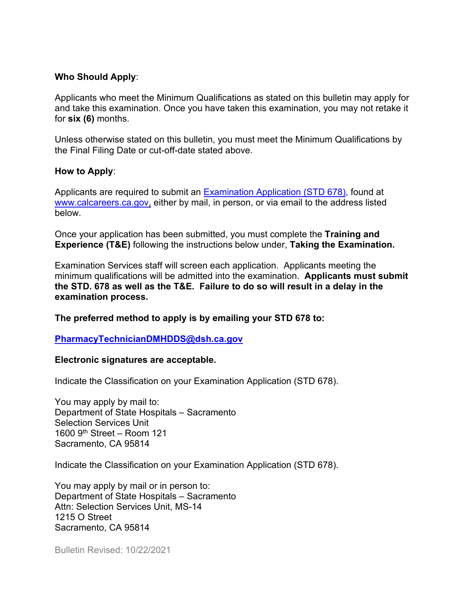#### **Who Should Apply**:

Applicants who meet the Minimum Qualifications as stated on this bulletin may apply for and take this examination. Once you have taken this examination, you may not retake it for **six (6)** months.

Unless otherwise stated on this bulletin, you must meet the Minimum Qualifications by the Final Filing Date or cut-off-date stated above.

#### **How to Apply**:

Applicants are required to submit an [Examination Application \(STD 678\),](https://jobs.ca.gov/pdf/std678.pdf) found at [www.calcareers.ca.gov,](file://sacfs3p/group/Exams/Exams-NEW/Online%20Exams%20-%20Future%20Placeholder%20for%20ALL%20EXAM%20FILES/Pharmacy%20Technician/Administrations/Master%20Documents/Bulletins/2021/www.calcareers.ca.gov) either by mail, in person, or via email to the address listed below.

Once your application has been submitted, you must complete the **Training and Experience (T&E)** following the instructions below under, **Taking the Examination.**

Examination Services staff will screen each application. Applicants meeting the minimum qualifications will be admitted into the examination. **Applicants must submit the STD. 678 as well as the T&E. Failure to do so will result in a delay in the examination process.**

**The preferred method to apply is by emailing your STD 678 to:**

#### **[PharmacyTechnicianDMHDDS@dsh.ca.gov](mailto:PharmacyTechnicianDMHDDS@dsh.ca.gov)**

#### **Electronic signatures are acceptable.**

Indicate the Classification on your Examination Application (STD 678).

You may apply by mail to: Department of State Hospitals – Sacramento Selection Services Unit 1600 9th Street – Room 121 Sacramento, CA 95814

Indicate the Classification on your Examination Application (STD 678).

You may apply by mail or in person to: Department of State Hospitals – Sacramento Attn: Selection Services Unit, MS-14 1215 O Street Sacramento, CA 95814

Bulletin Revised: 10/22/2021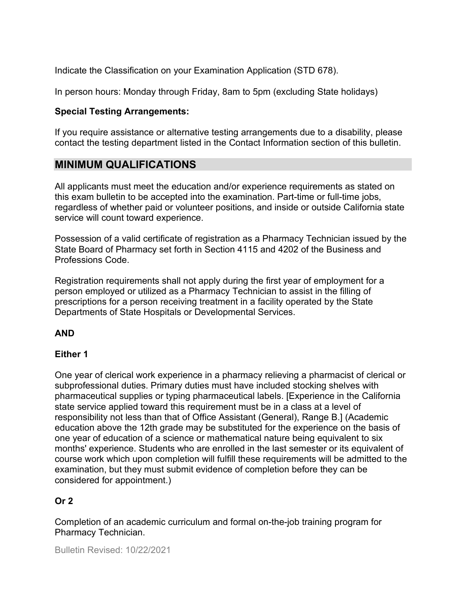Indicate the Classification on your Examination Application (STD 678).

In person hours: Monday through Friday, 8am to 5pm (excluding State holidays)

#### **Special Testing Arrangements:**

If you require assistance or alternative testing arrangements due to a disability, please contact the testing department listed in the Contact Information section of this bulletin.

## **MINIMUM QUALIFICATIONS**

All applicants must meet the education and/or experience requirements as stated on this exam bulletin to be accepted into the examination. Part-time or full-time jobs, regardless of whether paid or volunteer positions, and inside or outside California state service will count toward experience.

Possession of a valid certificate of registration as a Pharmacy Technician issued by the State Board of Pharmacy set forth in Section 4115 and 4202 of the Business and Professions Code.

Registration requirements shall not apply during the first year of employment for a person employed or utilized as a Pharmacy Technician to assist in the filling of prescriptions for a person receiving treatment in a facility operated by the State Departments of State Hospitals or Developmental Services.

#### **AND**

#### **Either 1**

One year of clerical work experience in a pharmacy relieving a pharmacist of clerical or subprofessional duties. Primary duties must have included stocking shelves with pharmaceutical supplies or typing pharmaceutical labels. [Experience in the California state service applied toward this requirement must be in a class at a level of responsibility not less than that of Office Assistant (General), Range B.] (Academic education above the 12th grade may be substituted for the experience on the basis of one year of education of a science or mathematical nature being equivalent to six months' experience. Students who are enrolled in the last semester or its equivalent of course work which upon completion will fulfill these requirements will be admitted to the examination, but they must submit evidence of completion before they can be considered for appointment.)

## **Or 2**

Completion of an academic curriculum and formal on-the-job training program for Pharmacy Technician.

Bulletin Revised: 10/22/2021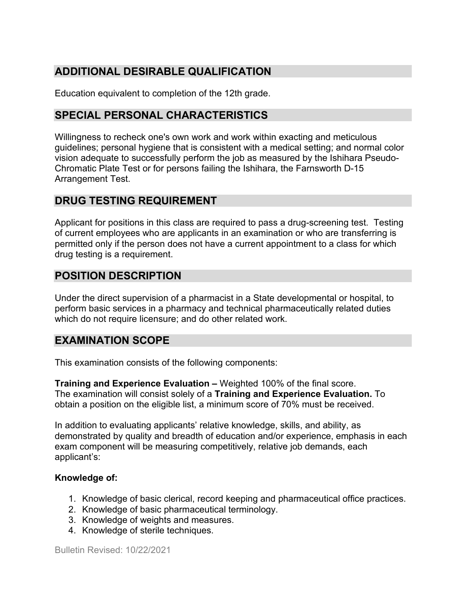# **ADDITIONAL DESIRABLE QUALIFICATION**

Education equivalent to completion of the 12th grade.

# **SPECIAL PERSONAL CHARACTERISTICS**

Willingness to recheck one's own work and work within exacting and meticulous guidelines; personal hygiene that is consistent with a medical setting; and normal color vision adequate to successfully perform the job as measured by the Ishihara Pseudo-Chromatic Plate Test or for persons failing the Ishihara, the Farnsworth D-15 Arrangement Test.

# **DRUG TESTING REQUIREMENT**

Applicant for positions in this class are required to pass a drug-screening test. Testing of current employees who are applicants in an examination or who are transferring is permitted only if the person does not have a current appointment to a class for which drug testing is a requirement.

# **POSITION DESCRIPTION**

Under the direct supervision of a pharmacist in a State developmental or hospital, to perform basic services in a pharmacy and technical pharmaceutically related duties which do not require licensure; and do other related work.

## **EXAMINATION SCOPE**

This examination consists of the following components:

**Training and Experience Evaluation –** Weighted 100% of the final score. The examination will consist solely of a **Training and Experience Evaluation.** To obtain a position on the eligible list, a minimum score of 70% must be received.

In addition to evaluating applicants' relative knowledge, skills, and ability, as demonstrated by quality and breadth of education and/or experience, emphasis in each exam component will be measuring competitively, relative job demands, each applicant's:

#### **Knowledge of:**

- 1. Knowledge of basic clerical, record keeping and pharmaceutical office practices.
- 2. Knowledge of basic pharmaceutical terminology.
- 3. Knowledge of weights and measures.
- 4. Knowledge of sterile techniques.

Bulletin Revised: 10/22/2021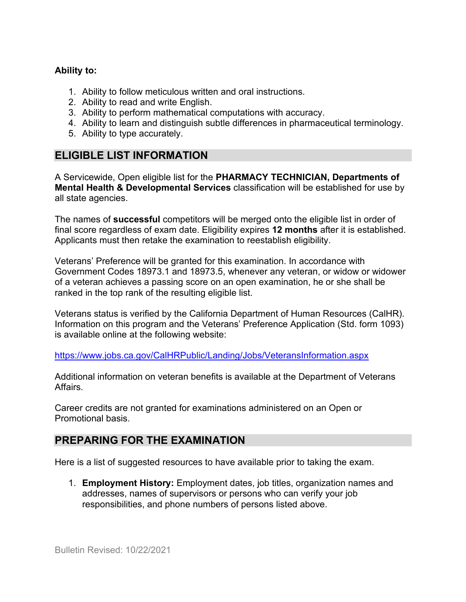#### **Ability to:**

- 1. Ability to follow meticulous written and oral instructions.
- 2. Ability to read and write English.
- 3. Ability to perform mathematical computations with accuracy.
- 4. Ability to learn and distinguish subtle differences in pharmaceutical terminology.
- 5. Ability to type accurately.

## **ELIGIBLE LIST INFORMATION**

A Servicewide, Open eligible list for the **PHARMACY TECHNICIAN, Departments of Mental Health & Developmental Services** classification will be established for use by all state agencies.

The names of **successful** competitors will be merged onto the eligible list in order of final score regardless of exam date. Eligibility expires **12 months** after it is established. Applicants must then retake the examination to reestablish eligibility.

Veterans' Preference will be granted for this examination. In accordance with Government Codes 18973.1 and 18973.5, whenever any veteran, or widow or widower of a veteran achieves a passing score on an open examination, he or she shall be ranked in the top rank of the resulting eligible list.

Veterans status is verified by the California Department of Human Resources (CalHR). Information on this program and the Veterans' Preference Application (Std. form 1093) is available online [at the following website:](https://www.jobs.ca.gov/CalHRPublic/Landing/Jobs/VeteransInformation.aspx)

<https://www.jobs.ca.gov/CalHRPublic/Landing/Jobs/VeteransInformation.aspx>

Additional information on veteran benefits is available at the Department of Veterans Affairs.

Career credits are not granted for examinations administered on an Open or Promotional basis.

## **PREPARING FOR THE EXAMINATION**

Here is a list of suggested resources to have available prior to taking the exam.

1. **Employment History:** Employment dates, job titles, organization names and addresses, names of supervisors or persons who can verify your job responsibilities, and phone numbers of persons listed above.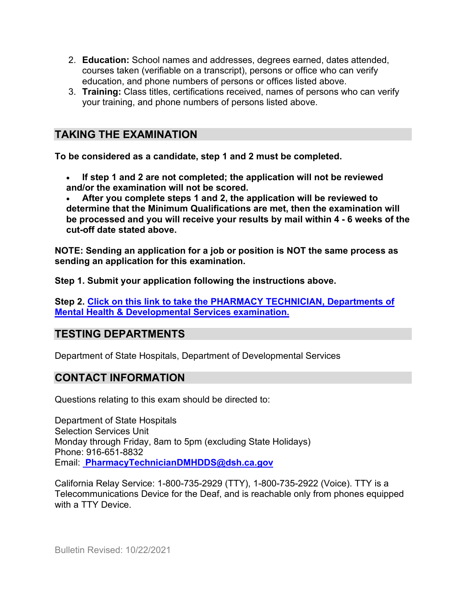- 2. **Education:** School names and addresses, degrees earned, dates attended, courses taken (verifiable on a transcript), persons or office who can verify education, and phone numbers of persons or offices listed above.
- 3. **Training:** Class titles, certifications received, names of persons who can verify your training, and phone numbers of persons listed above.

# **TAKING THE EXAMINATION**

**To be considered as a candidate, step 1 and 2 must be completed.**

• **If step 1 and 2 are not completed; the application will not be reviewed and/or the examination will not be scored.**

• **After you complete steps 1 and 2, the application will be reviewed to determine that the Minimum Qualifications are met, then the examination will be processed and you will receive your results by mail within 4 - 6 weeks of the cut-off date stated above.**

**NOTE: Sending an application for a job or position is NOT the same process as sending an application for this examination.**

**Step 1. Submit your application following the instructions above.**

**Step 2. [Click on this link to take the PHARMACY TECHNICIAN, Departments of](https://www.surveymonkey.com/r/XLJ7M9S)  [Mental Health & Developmental Services examination.](https://www.surveymonkey.com/r/XLJ7M9S)**

# **TESTING DEPARTMENTS**

Department of State Hospitals, Department of Developmental Services

## **CONTACT INFORMATION**

Questions relating to this exam should be directed to:

Department of State Hospitals Selection Services Unit Monday through Friday, 8am to 5pm (excluding State Holidays) Phone: 916-651-8832 Email: **[PharmacyTechnicianDMHDDS@dsh.ca.gov](mailto:PharmacyTechnicianDMHDDS@dsh.ca.gov)**

California Relay Service: 1-800-735-2929 (TTY), 1-800-735-2922 (Voice). TTY is a Telecommunications Device for the Deaf, and is reachable only from phones equipped with a TTY Device.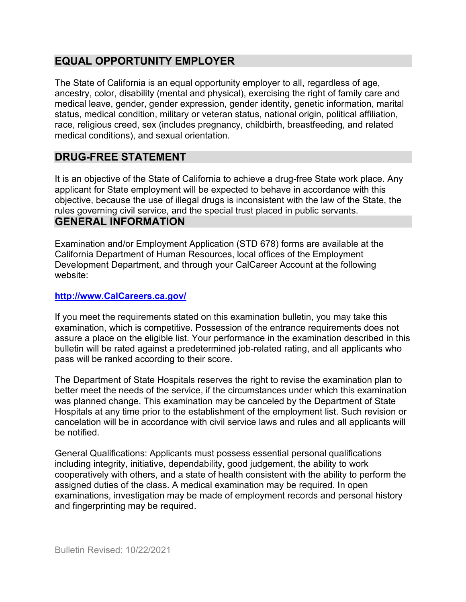# **EQUAL OPPORTUNITY EMPLOYER**

The State of California is an equal opportunity employer to all, regardless of age, ancestry, color, disability (mental and physical), exercising the right of family care and medical leave, gender, gender expression, gender identity, genetic information, marital status, medical condition, military or veteran status, national origin, political affiliation, race, religious creed, sex (includes pregnancy, childbirth, breastfeeding, and related medical conditions), and sexual orientation.

# **DRUG-FREE STATEMENT**

It is an objective of the State of California to achieve a drug-free State work place. Any applicant for State employment will be expected to behave in accordance with this objective, because the use of illegal drugs is inconsistent with the law of the State, the rules governing civil service, and the special trust placed in public servants.

# **GENERAL INFORMATION**

Examination and/or Employment Application (STD 678) forms are available at the California Department of Human Resources, local offices of the Employment Development Department, and through your CalCareer Account at the following website:

### **[http://www.CalCareers.ca.gov/](http://www.calcareers.ca.gov/)**

If you meet the requirements stated on this examination bulletin, you may take this examination, which is competitive. Possession of the entrance requirements does not assure a place on the eligible list. Your performance in the examination described in this bulletin will be rated against a predetermined job-related rating, and all applicants who pass will be ranked according to their score.

The Department of State Hospitals reserves the right to revise the examination plan to better meet the needs of the service, if the circumstances under which this examination was planned change. This examination may be canceled by the Department of State Hospitals at any time prior to the establishment of the employment list. Such revision or cancelation will be in accordance with civil service laws and rules and all applicants will be notified.

General Qualifications: Applicants must possess essential personal qualifications including integrity, initiative, dependability, good judgement, the ability to work cooperatively with others, and a state of health consistent with the ability to perform the assigned duties of the class. A medical examination may be required. In open examinations, investigation may be made of employment records and personal history and fingerprinting may be required.